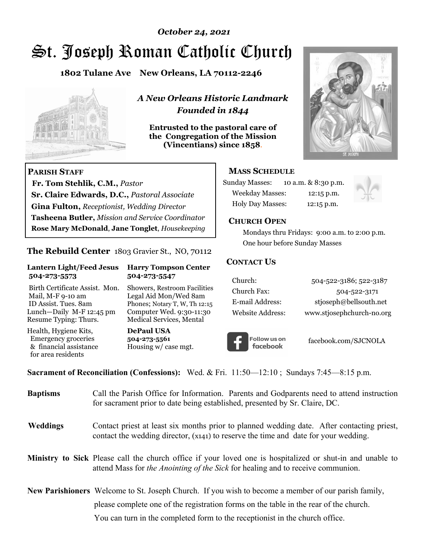# St. Joseph Roman Catholic Church *October 24, 2021*

**1802 Tulane Ave New Orleans, LA 70112-2246**



 **Fr. Tom Stehlik, C.M.,** *Pastor* 

**Sr. Claire Edwards, D.C.,** *Pastoral Associate* **Gina Fulton,** *Receptionist, Wedding Director* 

**Tasheena Butler,** *Mission and Service Coordinator* **Rose Mary McDonald**, **Jane Tonglet**, *Housekeeping*

**The Rebuild Center** 1803 Gravier St., NO, 70112

**Lantern Light/Feed Jesus Harry Tompson Center** 

Birth Certificate Assist. Mon. Showers, Restroom Facilities Mail, M-F 9-10 am Legal Aid Mon/Wed 8am ID Assist. Tues. 8am Phones; Notary T, W, Th 12:15 Lunch—Daily M-F 12:45 pm Computer Wed. 9:30-11:30 Resume Typing: Thurs. Medical Services, Mental

 **504-273-5573 504-273-5547** 

Health, Hygiene Kits, **DePaul USA**  Emergency groceries **504-273-5561**

& financial assistance Housing w/ case mgt.

**PARISH STAFF**

for area residents

*A New Orleans Historic Landmark Founded in 1844* 

**Entrusted to the pastoral care of the Congregation of the Mission (Vincentians) since 1858**.



### **MASS SCHEDULE**

| <b>Sunday Masses:</b>  | 10 a.m. & 8:30 p.m. |
|------------------------|---------------------|
| <b>Weekday Masses:</b> | $12:15$ p.m.        |
| Holy Day Masses:       | 12:15 p.m.          |



#### **CHURCH OPEN**

 Mondays thru Fridays: 9:00 a.m. to 2:00 p.m. One hour before Sunday Masses

#### **CONTACT US**

| Church:          | 504-522-3186; 522-3187    |
|------------------|---------------------------|
| Church Fax:      | 504-522-3171              |
| E-mail Address:  | stjoseph@bellsouth.net    |
| Website Address: | www.stjosephchurch-no.org |



facebook.com/SJCNOLA

**Sacrament of Reconciliation (Confessions):** Wed. & Fri. 11:50—12:10 ; Sundays 7:45—8:15 p.m.

| <b>Baptisms</b> | Call the Parish Office for Information. Parents and Godparents need to attend instruction<br>for sacrament prior to date being established, presented by Sr. Claire, DC.                            |
|-----------------|-----------------------------------------------------------------------------------------------------------------------------------------------------------------------------------------------------|
| <b>Weddings</b> | Contact priest at least six months prior to planned wedding date. After contacting priest,<br>contact the wedding director, (x141) to reserve the time and date for your wedding.                   |
|                 | <b>Ministry to Sick</b> Please call the church office if your loved one is hospitalized or shut-in and unable to<br>attend Mass for the Anointing of the Sick for healing and to receive communion. |
|                 | <b>New Parishioners</b> Welcome to St. Joseph Church. If you wish to become a member of our parish family,                                                                                          |
|                 | please complete one of the registration forms on the table in the rear of the church.                                                                                                               |
|                 | You can turn in the completed form to the receptionist in the church office.                                                                                                                        |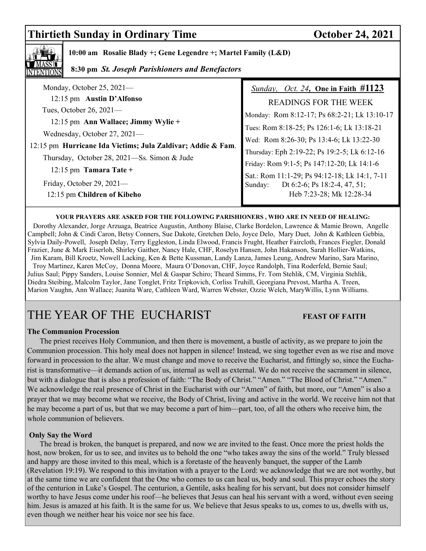# **Thirtieth Sunday in Ordinary Time October 24, 2021**



 **10:00 am Rosalie Blady +; Gene Legendre +; Martel Family (L&D)** 

 **8:30 pm** *St. Joseph Parishioners and Benefactors*

| Monday, October 25, $2021-$                                                                                                                                                                                                                                             | Sunday, Oct. 24, One in Faith #1123           |
|-------------------------------------------------------------------------------------------------------------------------------------------------------------------------------------------------------------------------------------------------------------------------|-----------------------------------------------|
| 12:15 pm Austin D'Alfonso<br>Tues, October 26, $2021-$<br>12:15 pm Ann Wallace; Jimmy Wylie +<br>Wednesday, October 27, 2021-<br>12:15 pm Hurricane Ida Victims; Jula Zaldivar; Addie & Fam.<br>Thursday, October 28, 2021—Ss. Simon & Jude<br>$12:15$ pm Tamara Tate + | <b>READINGS FOR THE WEEK</b>                  |
|                                                                                                                                                                                                                                                                         | Monday: Rom 8:12-17; Ps 68:2-21; Lk 13:10-17  |
|                                                                                                                                                                                                                                                                         | Tues: Rom 8:18-25; Ps 126:1-6; Lk 13:18-21    |
|                                                                                                                                                                                                                                                                         | Wed: Rom 8:26-30; Ps 13:4-6; Lk 13:22-30      |
|                                                                                                                                                                                                                                                                         | Thursday: Eph 2:19-22; Ps 19:2-5; Lk 6:12-16  |
|                                                                                                                                                                                                                                                                         | Friday: Rom 9:1-5; Ps 147:12-20; Lk 14:1-6    |
|                                                                                                                                                                                                                                                                         | Sat.: Rom 11:1-29; Ps 94:12-18; Lk 14:1, 7-11 |
| Friday, October 29, $2021-$                                                                                                                                                                                                                                             | Dt 6:2-6; Ps 18:2-4, 47, 51;<br>Sunday:       |
| 12:15 pm Children of Kibeho                                                                                                                                                                                                                                             | Heb 7:23-28; Mk 12:28-34                      |

#### **YOUR PRAYERS ARE ASKED FOR THE FOLLOWING PARISHIONERS , WHO ARE IN NEED OF HEALING:**

 Dorothy Alexander, Jorge Arzuaga, Beatrice Augustin, Anthony Blaise, Clarke Bordelon, Lawrence & Mamie Brown, Angelle Campbell; John & Cindi Caron, Betsy Conners, Sue Dakote, Gretchen Delo, Joyce Delo, Mary Duet, John & Kathleen Gebbia, Sylvia Daily-Powell, Joseph Delay, Terry Eggleston, Linda Elwood, Francis Frught, Heather Faircloth, Frances Fiegler, Donald Frazier, June & Mark Eiserloh, Shirley Gaither, Nancy Hale, CHF, Roselyn Hansen, John Hakanson, Sarah Hollier-Watkins, Jim Karam, Bill Kroetz, Nowell Lacking, Ken & Bette Kussman, Landy Lanza, James Leung, Andrew Marino, Sara Marino, Troy Martinez, Karen McCoy, Donna Moore, Maura O'Donovan, CHF, Joyce Randolph, Tina Roderfeld, Bernie Saul; Julius Saul; Pippy Sanders, Louise Sonnier, Mel & Gaspar Schiro; Theard Simms, Fr. Tom Stehlik, CM, Virginia Stehlik, Diedra Steibing, Malcolm Taylor, Jane Tonglet, Fritz Tripkovich, Corliss Truhill, Georgiana Prevost, Martha A. Treen, Marion Vaughn, Ann Wallace; Juanita Ware, Cathleen Ward, Warren Webster, Ozzie Welch, MaryWillis, Lynn Williams.

# THE YEAR OF THE EUCHARIST **FEAST OF FAITH**

#### **The Communion Procession**

 The priest receives Holy Communion, and then there is movement, a bustle of activity, as we prepare to join the Communion procession. This holy meal does not happen in silence! Instead, we sing together even as we rise and move forward in procession to the altar. We must change and move to receive the Eucharist, and fittingly so, since the Eucharist is transformative—it demands action of us, internal as well as external. We do not receive the sacrament in silence, but with a dialogue that is also a profession of faith: "The Body of Christ." "Amen." "The Blood of Christ." "Amen." We acknowledge the real presence of Christ in the Eucharist with our "Amen" of faith, but more, our "Amen" is also a prayer that we may become what we receive, the Body of Christ, living and active in the world. We receive him not that he may become a part of us, but that we may become a part of him—part, too, of all the others who receive him, the whole communion of believers.

#### **Only Say the Word**

 The bread is broken, the banquet is prepared, and now we are invited to the feast. Once more the priest holds the host, now broken, for us to see, and invites us to behold the one "who takes away the sins of the world." Truly blessed and happy are those invited to this meal, which is a foretaste of the heavenly banquet, the supper of the Lamb (Revelation 19:19). We respond to this invitation with a prayer to the Lord: we acknowledge that we are not worthy, but at the same time we are confident that the One who comes to us can heal us, body and soul. This prayer echoes the story of the centurion in Luke's Gospel. The centurion, a Gentile, asks healing for his servant, but does not consider himself worthy to have Jesus come under his roof—he believes that Jesus can heal his servant with a word, without even seeing him. Jesus is amazed at his faith. It is the same for us. We believe that Jesus speaks to us, comes to us, dwells with us, even though we neither hear his voice nor see his face.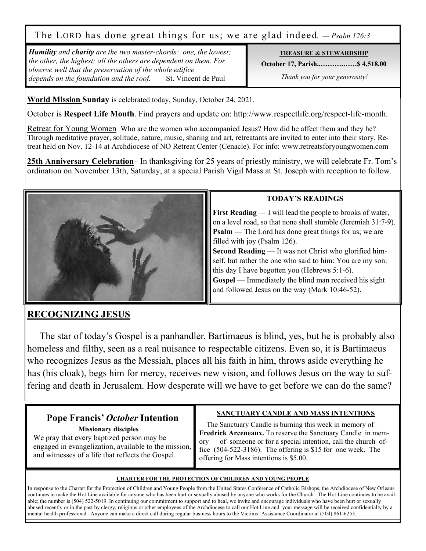The LORD has done great things for us; we are glad indeed. *— Psalm 126:3*

*Humility and charity are the two master-chords: one, the lowest; the other, the highest; all the others are dependent on them. For observe well that the preservation of the whole edifice depends on the foundation and the roof.* St. Vincent de Paul 

#### **TREASURE & STEWARDSHIP**

**October 17, Parish..……….……\$ 4,518.00** 

 *Thank you for your generosity!* 

**World Mission Sunday** is celebrated today, Sunday, October 24, 2021.

October is **Respect Life Month**. Find prayers and update on: http://www.respectlife.org/respect-life-month.

Retreat for Young Women Who are the women who accompanied Jesus? How did he affect them and they he? Through meditative prayer, solitude, nature, music, sharing and art, retreatants are invited to enter into their story. Retreat held on Nov. 12-14 at Archdiocese of NO Retreat Center (Cenacle). For info: www.retreatsforyoungwomen.com

**25th Anniversary Celebration**– In thanksgiving for 25 years of priestly ministry, we will celebrate Fr. Tom's ordination on November 13th, Saturday, at a special Parish Vigil Mass at St. Joseph with reception to follow.



## **TODAY'S READINGS**

**First Reading** — I will lead the people to brooks of water, on a level road, so that none shall stumble (Jeremiah 31:7-9). **Psalm** — The Lord has done great things for us; we are filled with joy (Psalm 126).

**Second Reading** — It was not Christ who glorified himself, but rather the one who said to him: You are my son: this day I have begotten you (Hebrews 5:1-6).

**Gospel** — Immediately the blind man received his sight and followed Jesus on the way (Mark 10:46-52).

# **RECOGNIZING JESUS**

 The star of today's Gospel is a panhandler. Bartimaeus is blind, yes, but he is probably also homeless and filthy, seen as a real nuisance to respectable citizens. Even so, it is Bartimaeus who recognizes Jesus as the Messiah, places all his faith in him, throws aside everything he has (his cloak), begs him for mercy, receives new vision, and follows Jesus on the way to suffering and death in Jerusalem. How desperate will we have to get before we can do the same?

# **Pope Francis'** *October* **Intention Missionary disciples**

We pray that every baptized person may be engaged in evangelization, available to the mission, and witnesses of a life that reflects the Gospel.

## **SANCTUARY CANDLE AND MASS INTENTIONS**

 The Sanctuary Candle is burning this week in memory of **Fredrick Arceneaux.** To reserve the Sanctuary Candle in memory of someone or for a special intention, call the church office (504-522-3186). The offering is \$15 for one week. The offering for Mass intentions is \$5.00.

#### **CHARTER FOR THE PROTECTION OF CHILDREN AND YOUNG PEOPLE**

In response to the Charter for the Protection of Children and Young People from the United States Conference of Catholic Bishops, the Archdiocese of New Orleans continues to make the Hot Line available for anyone who has been hurt or sexually abused by anyone who works for the Church. The Hot Line continues to be available; the number is (504) 522-5019. In continuing our commitment to support and to heal, we invite and encourage individuals who have been hurt or sexually abused recently or in the past by clergy, religious or other employees of the Archdiocese to call our Hot Line and your message will be received confidentially by a mental health professional. Anyone can make a direct call during regular business hours to the Victims' Assistance Coordinator at (504) 861-6253.